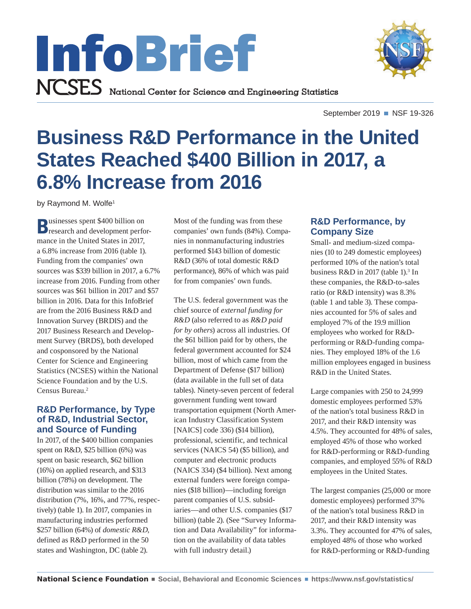



September 2019 ■ NSF 19-326

# **Business R&D Performance in the United States Reached \$400 Billion in 2017, a 6.8% Increase from 2016**

by Raymond M. Wolfe<sup>1</sup>

**Businesses spent \$400 billion on**<br> **Businesses spent \$400 billion on** mance in the United States in 2017, a 6.8% increase from 2016 (table 1). Funding from the companies' own sources was \$339 billion in 2017, a 6.7% increase from 2016. Funding from other sources was \$61 billion in 2017 and \$57 billion in 2016. Data for this InfoBrief are from the 2016 Business R&D and Innovation Survey (BRDIS) and the 2017 Business Research and Development Survey (BRDS), both developed and cosponsored by the National Center for Science and Engineering Statistics (NCSES) within the National Science Foundation and by the U.S. Census Bureau.2

## **R&D Performance, by Type of R&D, Industrial Sector, and Source of Funding**

In 2017, of the \$400 billion companies spent on R&D, \$25 billion (6%) was spent on basic research, \$62 billion (16%) on applied research, and \$313 billion (78%) on development. The distribution was similar to the 2016 distribution (7%, 16%, and 77%, respectively) (table 1). In 2017, companies in manufacturing industries performed \$257 billion (64%) of *domestic R&D*, defined as R&D performed in the 50 states and Washington, DC (table 2).

Most of the funding was from these companies' own funds (84%). Companies in nonmanufacturing industries performed \$143 billion of domestic R&D (36% of total domestic R&D performance), 86% of which was paid for from companies' own funds.

The U.S. federal government was the chief source of *external funding for R&D* (also referred to as *R&D paid for by others*) across all industries. Of the \$61 billion paid for by others, the federal government accounted for \$24 billion, most of which came from the Department of Defense (\$17 billion) (data available in the full set of data tables). Ninety-seven percent of federal government funding went toward transportation equipment (North American Industry Classification System [NAICS] code 336) (\$14 billion), professional, scientific, and technical services (NAICS 54) (\$5 billion), and computer and electronic products (NAICS 334) (\$4 billion). Next among external funders were foreign companies (\$18 billion)—including foreign parent companies of U.S. subsidiaries—and other U.S. companies (\$17 billion) (table 2). (See "Survey Information and Data Availability" for information on the availability of data tables with full industry detail.)

# **R&D Performance, by Company Size**

Small- and medium-sized companies (10 to 249 domestic employees) performed 10% of the nation's total business  $R&D$  in 2017 (table 1).<sup>3</sup> In these companies, the R&D-to-sales ratio (or R&D intensity) was 8.3% (table 1 and table 3). These companies accounted for 5% of sales and employed 7% of the 19.9 million employees who worked for R&Dperforming or R&D-funding companies. They employed 18% of the 1.6 million employees engaged in business R&D in the United States.

Large companies with 250 to 24,999 domestic employees performed 53% of the nation's total business R&D in 2017, and their R&D intensity was 4.5%. They accounted for 48% of sales, employed 45% of those who worked for R&D-performing or R&D-funding companies, and employed 55% of R&D employees in the United States.

The largest companies (25,000 or more domestic employees) performed 37% of the nation's total business R&D in 2017, and their R&D intensity was 3.3%. They accounted for 47% of sales, employed 48% of those who worked for R&D-performing or R&D-funding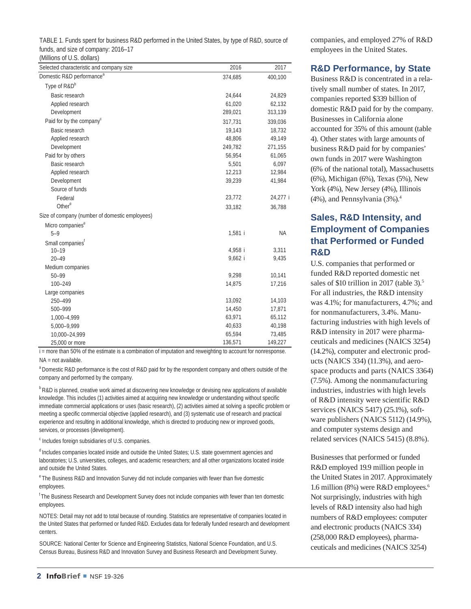| TABLE 1. Funds spent for business R&D performed in the United States, by type of R&D, source of |  |
|-------------------------------------------------------------------------------------------------|--|
| funds, and size of company: 2016–17                                                             |  |

(Millions of U.S. dollars)

| Selected characteristic and company size       | 2016    | 2017      |
|------------------------------------------------|---------|-----------|
| Domestic R&D performance <sup>a</sup>          | 374,685 | 400,100   |
| Type of R&D <sup>b</sup>                       |         |           |
| Basic research                                 | 24,644  | 24,829    |
| Applied research                               | 61,020  | 62,132    |
| Development                                    | 289,021 | 313,139   |
| Paid for by the company <sup>c</sup>           | 317,731 | 339,036   |
| Basic research                                 | 19,143  | 18,732    |
| Applied research                               | 48,806  | 49,149    |
| Development                                    | 249,782 | 271,155   |
| Paid for by others                             | 56,954  | 61,065    |
| Basic research                                 | 5,501   | 6,097     |
| Applied research                               | 12,213  | 12,984    |
| Development                                    | 39,239  | 41,984    |
| Source of funds                                |         |           |
| Federal                                        | 23,772  | 24,277 i  |
| Other <sup>d</sup>                             | 33,182  | 36,788    |
| Size of company (number of domestic employees) |         |           |
| Micro companies <sup>e</sup>                   |         |           |
| $5 - 9$                                        | 1,581 i | <b>NA</b> |
| Small companies <sup>r</sup>                   |         |           |
| $10 - 19$                                      | 4,958 i | 3,311     |
| $20 - 49$                                      | 9,662 i | 9,435     |
| Medium companies                               |         |           |
| $50 - 99$                                      | 9,298   | 10,141    |
| $100 - 249$                                    | 14,875  | 17,216    |
| Large companies                                |         |           |
| 250-499                                        | 13,092  | 14,103    |
| 500-999                                        | 14,450  | 17,871    |
| 1,000-4,999                                    | 63,971  | 65,112    |
| 5,000-9,999                                    | 40,633  | 40,198    |
| 10,000-24,999                                  | 65,594  | 73,485    |
| 25,000 or more                                 | 136,571 | 149,227   |

NA = not available. i = more than 50% of the estimate is a combination of imputation and reweighting to account for nonresponse.

<sup>a</sup> Domestic R&D performance is the cost of R&D paid for by the respondent company and others outside of the company and performed by the company.

<sup>b</sup> R&D is planned, creative work aimed at discovering new knowledge or devising new applications of available knowledge. This includes (1) activities aimed at acquiring new knowledge or understanding without specific immediate commercial applications or uses (basic research), (2) activities aimed at solving a specific problem or meeting a specific commercial objective (applied research), and (3) systematic use of research and practical experience and resulting in additional knowledge, which is directed to producing new or improved goods, services, or processes (development).

<sup>c</sup> Includes foreign subsidiaries of U.S. companies.

<sup>d</sup> Includes companies located inside and outside the United States; U.S. state government agencies and laboratories; U.S. universities, colleges, and academic researchers; and all other organizations located inside and outside the United States.

<sup>e</sup> The Business R&D and Innovation Survey did not include companies with fewer than five domestic employees.

<sup>f</sup> The Business Research and Development Survey does not include companies with fewer than ten domestic employees.

NOTES: Detail may not add to total because of rounding. Statistics are representative of companies located in the United States that performed or funded R&D. Excludes data for federally funded research and development centers.

SOURCE: National Center for Science and Engineering Statistics, National Science Foundation, and U.S. Census Bureau, Business R&D and Innovation Survey and Business Research and Development Survey. companies, and employed 27% of R&D employees in the United States.

## **R&D Performance, by State**

Business R&D is concentrated in a relatively small number of states. In 2017, companies reported \$339 billion of domestic R&D paid for by the company. Businesses in California alone accounted for 35% of this amount (table 4). Other states with large amounts of business R&D paid for by companies' own funds in 2017 were Washington (6% of the national total), Massachusetts (6%), Michigan (6%), Texas (5%), New York (4%), New Jersey (4%), Illinois (4%), and Pennsylvania (3%).4

# **Sales, R&D Intensity, and Employment of Companies that Performed or Funded R&D**

U.S. companies that performed or funded R&D reported domestic net sales of \$10 trillion in 2017 (table 3).<sup>5</sup> For all industries, the R&D intensity was 4.1%; for manufacturers, 4.7%; and for nonmanufacturers, 3.4%. Manufacturing industries with high levels of R&D intensity in 2017 were pharmaceuticals and medicines (NAICS 3254) (14.2%), computer and electronic products (NAICS 334) (11.3%), and aerospace products and parts (NAICS 3364) (7.5%). Among the nonmanufacturing industries, industries with high levels of R&D intensity were scientific R&D services (NAICS 5417) (25.1%), software publishers (NAICS 5112) (14.9%), and computer systems design and related services (NAICS 5415) (8.8%).

Businesses that performed or funded R&D employed 19.9 million people in the United States in 2017. Approximately 1.6 million (8%) were R&D employees.6 Not surprisingly, industries with high levels of R&D intensity also had high numbers of R&D employees: computer and electronic products (NAICS 334) (258,000 R&D employees), pharmaceuticals and medicines (NAICS 3254)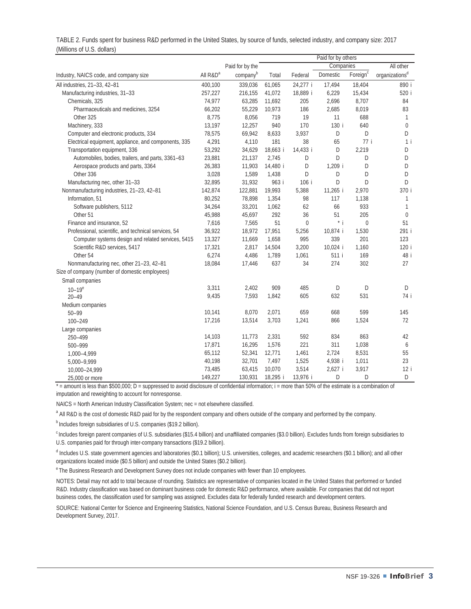|                                                      |                      |                 |          |             | Paid for by others |                      |                            |
|------------------------------------------------------|----------------------|-----------------|----------|-------------|--------------------|----------------------|----------------------------|
|                                                      |                      | Paid for by the |          |             | Companies          |                      | All other                  |
| Industry, NAICS code, and company size               | All R&D <sup>a</sup> | companyb        | Total    | Federal     | Domestic           | Foreign <sup>c</sup> | organizations <sup>d</sup> |
| All industries, 21-33, 42-81                         | 400,100              | 339,036         | 61,065   | 24,277 i    | 17,494             | 18,404               | 890 i                      |
| Manufacturing industries, 31-33                      | 257,227              | 216,155         | 41,072   | 18,889 i    | 6,229              | 15,434               | 520 i                      |
| Chemicals, 325                                       | 74,977               | 63,285          | 11,692   | 205         | 2,696              | 8,707                | 84                         |
| Pharmaceuticals and medicines, 3254                  | 66,202               | 55,229          | 10,973   | 186         | 2,685              | 8,019                | 83                         |
| Other 325                                            | 8,775                | 8,056           | 719      | 19          | 11                 | 688                  | 1                          |
| Machinery, 333                                       | 13,197               | 12,257          | 940      | 170         | 130 i              | 640                  | $\mathbf{0}$               |
| Computer and electronic products, 334                | 78,575               | 69,942          | 8,633    | 3,937       | D                  | D                    | D                          |
| Electrical equipment, appliance, and components, 335 | 4,291                | 4,110           | 181      | 38          | 65                 | 77 i                 | $1$ i                      |
| Transportation equipment, 336                        | 53,292               | 34,629          | 18,663 i | 14,433 i    | D                  | 2,219                | D                          |
| Automobiles, bodies, trailers, and parts, 3361-63    | 23,881               | 21,137          | 2,745    | D           | D                  | D                    | D                          |
| Aerospace products and parts, 3364                   | 26,383               | 11,903          | 14,480 i | D           | 1,209 i            | D                    | D                          |
| Other 336                                            | 3,028                | 1,589           | 1,438    | D           | D                  | D                    | D                          |
| Manufacturing nec, other 31-33                       | 32,895               | 31,932          | 963 i    | 106 i       | D                  | D                    | D                          |
| Nonmanufacturing industries, 21-23, 42-81            | 142,874              | 122,881         | 19,993   | 5,388       | 11,265 i           | 2,970                | 370 i                      |
| Information, 51                                      | 80,252               | 78,898          | 1,354    | 98          | 117                | 1,138                | 1                          |
| Software publishers, 5112                            | 34,264               | 33,201          | 1,062    | 62          | 66                 | 933                  | $\mathbf{1}$               |
| Other 51                                             | 45,988               | 45,697          | 292      | 36          | 51                 | 205                  | $\mathbf 0$                |
| Finance and insurance, 52                            | 7,616                | 7,565           | 51       | $\mathbf 0$ | $*$ i              | $\mathbf 0$          | 51                         |
| Professional, scientific, and technical services, 54 | 36,922               | 18,972          | 17,951   | 5,256       | 10,874 i           | 1,530                | 291 i                      |
| Computer systems design and related services, 5415   | 13,327               | 11,669          | 1,658    | 995         | 339                | 201                  | 123                        |
| Scientific R&D services, 5417                        | 17,321               | 2,817           | 14,504   | 3,200       | 10,024 i           | 1,160                | 120 i                      |
| Other 54                                             | 6,274                | 4,486           | 1,789    | 1,061       | 511 i              | 169                  | 48 i                       |
| Nonmanufacturing nec, other 21-23, 42-81             | 18,084               | 17,446          | 637      | 34          | 274                | 302                  | 27                         |
| Size of company (number of domestic employees)       |                      |                 |          |             |                    |                      |                            |
| Small companies                                      |                      |                 |          |             |                    |                      |                            |
| $10 - 19^e$                                          | 3,311                | 2,402           | 909      | 485         | D                  | D                    | D                          |
| $20 - 49$                                            | 9,435                | 7,593           | 1,842    | 605         | 632                | 531                  | 74 i                       |
| Medium companies                                     |                      |                 |          |             |                    |                      |                            |
| $50 - 99$                                            | 10,141               | 8,070           | 2,071    | 659         | 668                | 599                  | 145                        |
| 100-249                                              | 17,216               | 13,514          | 3,703    | 1,241       | 866                | 1,524                | 72                         |
| Large companies                                      |                      |                 |          |             |                    |                      |                            |
| 250-499                                              | 14,103               | 11,773          | 2,331    | 592         | 834                | 863                  | 42                         |
| 500-999                                              | 17,871               | 16,295          | 1,576    | 221         | 311                | 1,038                | 6                          |
| 1,000-4,999                                          | 65,112               | 52,341          | 12,771   | 1,461       | 2,724              | 8,531                | 55                         |
| 5,000-9,999                                          | 40,198               | 32,701          | 7,497    | 1,525       | 4,938 i            | 1,011                | 23                         |
| 10,000-24,999                                        | 73,485               | 63,415          | 10,070   | 3,514       | 2,627 i            | 3,917                | 12 i                       |
| 25,000 or more                                       | 149,227              | 130,931         | 18,295 i | 13,976 i    | D                  | D                    | D                          |

TABLE 2. Funds spent for business R&D performed in the United States, by source of funds, selected industry, and company size: 2017 (Millions of U.S. dollars)

 $*$  = amount is less than \$500,000; D = suppressed to avoid disclosure of confidential information; i = more than 50% of the estimate is a combination of imputation and reweighting to account for nonresponse.

NAICS = North American Industry Classification System; nec = not elsewhere classified.

<sup>a</sup> All R&D is the cost of domestic R&D paid for by the respondent company and others outside of the company and performed by the company.

<sup>b</sup> Includes foreign subsidiaries of U.S. companies (\$19.2 billion).

<sup>c</sup> Includes foreign parent companies of U.S. subsidiaries (\$15.4 billion) and unaffiliated companies (\$3.0 billion). Excludes funds from foreign subsidiaries to U.S. companies paid for through inter-company transactions (\$19.2 billion).

<sup>d</sup> Includes U.S. state government agencies and laboratories (\$0.1 billion); U.S. universities, colleges, and academic researchers (\$0.1 billion); and all other organizations located inside (\$0.5 billion) and outside the United States (\$0.2 billion).

<sup>e</sup> The Business Research and Development Survey does not include companies with fewer than 10 employees.

NOTES: Detail may not add to total because of rounding. Statistics are representative of companies located in the United States that performed or funded R&D. Industry classification was based on dominant business code for domestic R&D performance, where available. For companies that did not report business codes, the classification used for sampling was assigned. Excludes data for federally funded research and development centers.

SOURCE: National Center for Science and Engineering Statistics, National Science Foundation, and U.S. Census Bureau, Business Research and Development Survey, 2017.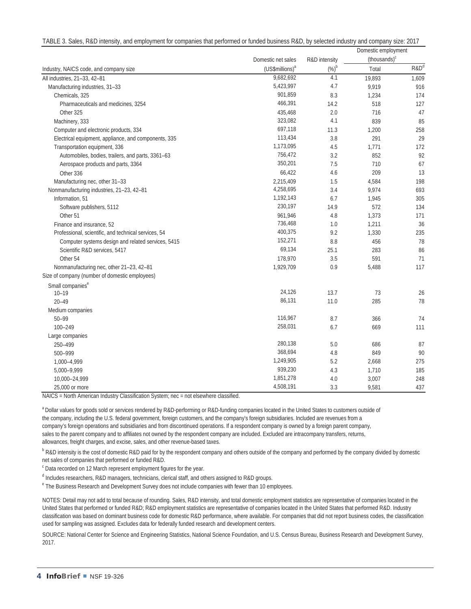|  | TABLE 3. Sales, R&D intensity, and employment for companies that performed or funded business R&D, by selected industry and company size: 2017 |  |  |  |  |  |
|--|------------------------------------------------------------------------------------------------------------------------------------------------|--|--|--|--|--|
|--|------------------------------------------------------------------------------------------------------------------------------------------------|--|--|--|--|--|

|                                                      |                             |                   | Domestic employment      |                  |
|------------------------------------------------------|-----------------------------|-------------------|--------------------------|------------------|
|                                                      | Domestic net sales          | R&D intensity     | (thousands) <sup>c</sup> |                  |
| Industry, NAICS code, and company size               | (US\$millions) <sup>a</sup> | $(\%)^{\text{b}}$ | Total                    | R&D <sup>d</sup> |
| All industries, 21-33, 42-81                         | 9,682,692                   | 4.1               | 19,893                   | 1,609            |
| Manufacturing industries, 31-33                      | 5,423,997                   | 4.7               | 9,919                    | 916              |
| Chemicals, 325                                       | 901,859                     | 8.3               | 1,234                    | 174              |
| Pharmaceuticals and medicines, 3254                  | 466,391                     | 14.2              | 518                      | 127              |
| Other 325                                            | 435,468                     | 2.0               | 716                      | 47               |
| Machinery, 333                                       | 323,082                     | 4.1               | 839                      | 85               |
| Computer and electronic products, 334                | 697,118                     | 11.3              | 1,200                    | 258              |
| Electrical equipment, appliance, and components, 335 | 113,434                     | 3.8               | 291                      | 29               |
| Transportation equipment, 336                        | 1,173,095                   | 4.5               | 1,771                    | 172              |
| Automobiles, bodies, trailers, and parts, 3361-63    | 756,472                     | 3.2               | 852                      | 92               |
| Aerospace products and parts, 3364                   | 350,201                     | 7.5               | 710                      | 67               |
| Other 336                                            | 66,422                      | 4.6               | 209                      | 13               |
| Manufacturing nec, other 31-33                       | 2,215,409                   | 1.5               | 4,584                    | 198              |
| Nonmanufacturing industries, 21-23, 42-81            | 4,258,695                   | 3.4               | 9,974                    | 693              |
| Information, 51                                      | 1,192,143                   | 6.7               | 1,945                    | 305              |
| Software publishers, 5112                            | 230,197                     | 14.9              | 572                      | 134              |
| Other 51                                             | 961,946                     | 4.8               | 1,373                    | 171              |
| Finance and insurance, 52                            | 736,468                     | 1.0               | 1,211                    | 36               |
| Professional, scientific, and technical services, 54 | 400,375                     | 9.2               | 1,330                    | 235              |
| Computer systems design and related services, 5415   | 152,271                     | 8.8               | 456                      | 78               |
| Scientific R&D services, 5417                        | 69,134                      | 25.1              | 283                      | 86               |
| Other 54                                             | 178,970                     | 3.5               | 591                      | 71               |
| Nonmanufacturing nec, other 21-23, 42-81             | 1,929,709                   | 0.9               | 5,488                    | 117              |
| Size of company (number of domestic employees)       |                             |                   |                          |                  |
| Small companies <sup>e</sup>                         |                             |                   |                          |                  |
| $10 - 19$                                            | 24,126                      | 13.7              | 73                       | 26               |
| $20 - 49$                                            | 86,131                      | 11.0              | 285                      | 78               |
| Medium companies                                     |                             |                   |                          |                  |
| $50 - 99$                                            | 116,967                     | 8.7               | 366                      | 74               |
| 100-249                                              | 258,031                     | 6.7               | 669                      | 111              |
| Large companies                                      |                             |                   |                          |                  |
| 250-499                                              | 280,138                     | 5.0               | 686                      | 87               |
| 500-999                                              | 368,694                     | 4.8               | 849                      | 90               |
| 1,000-4,999                                          | 1,249,905                   | 5.2               | 2,668                    | 275              |
| 5,000-9,999                                          | 939,230                     | 4.3               | 1,710                    | 185              |
| 10,000-24,999                                        | 1,851,278                   | 4.0               | 3,007                    | 248              |
| 25,000 or more                                       | 4,508,191                   | 3.3               | 9,581                    | 437              |

NAICS = North American Industry Classification System; nec = not elsewhere classified.

<sup>a</sup> Dollar values for goods sold or services rendered by R&D-performing or R&D-funding companies located in the United States to customers outside of the company, including the U.S. federal government, foreign customers, and the company's foreign subsidiaries. Included are revenues from a company's foreign operations and subsidiaries and from discontinued operations. If a respondent company is owned by a foreign parent company, sales to the parent company and to affiliates not owned by the respondent company are included. Excluded are intracompany transfers, returns, allowances, freight charges, and excise, sales, and other revenue-based taxes.

<sup>b</sup> R&D intensity is the cost of domestic R&D paid for by the respondent company and others outside of the company and performed by the company divided by domestic net sales of companies that performed or funded R&D.

<sup>c</sup> Data recorded on 12 March represent employment figures for the year.

<sup>d</sup> Includes researchers, R&D managers, technicians, clerical staff, and others assigned to R&D groups.

<sup>e</sup> The Business Research and Development Survey does not include companies with fewer than 10 employees.

NOTES: Detail may not add to total because of rounding. Sales, R&D intensity, and total domestic employment statistics are representative of companies located in the United States that performed or funded R&D; R&D employment statistics are representative of companies located in the United States that performed R&D. Industry classification was based on dominant business code for domestic R&D performance, where available. For companies that did not report business codes, the classification used for sampling was assigned. Excludes data for federally funded research and development centers.

SOURCE: National Center for Science and Engineering Statistics, National Science Foundation, and U.S. Census Bureau, Business Research and Development Survey, 2017.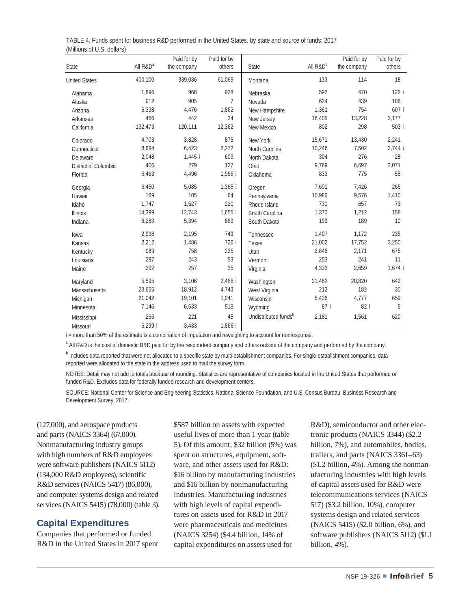| State                | All $R&D^a$ | Paid for by<br>the company | Paid for by<br>others | State                            | All $R&D^a$ | Paid for by<br>the company | Paid for by<br>others |
|----------------------|-------------|----------------------------|-----------------------|----------------------------------|-------------|----------------------------|-----------------------|
| <b>United States</b> | 400,100     | 339,036                    | 61,065                | Montana                          | 133         | 114                        | 18                    |
| Alabama              | 1.896       | 968                        | 928                   | Nebraska                         | 592         | 470                        | 122 i                 |
| Alaska               | 912         | 905                        | $\overline{7}$        | Nevada                           | 624         | 439                        | 186                   |
| Arizona              | 6,338       | 4.476                      | 1,862                 | New Hampshire                    | 1,361       | 754                        | 607 i                 |
| Arkansas             | 466         | 442                        | 24                    | New Jersey                       | 16,405      | 13,228                     | 3,177                 |
| California           | 132,473     | 120,111                    | 12,362                | New Mexico                       | 802         | 298                        | 503 i                 |
| Colorado             | 4,703       | 3,828                      | 875                   | New York                         | 15,671      | 13,430                     | 2,241                 |
| Connecticut          | 8,694       | 6,423                      | 2,272                 | North Carolina                   | 10,246      | 7,502                      | 2,744 i               |
| Delaware             | 2,048       | 1,445 i                    | 603                   | North Dakota                     | 304         | 276                        | 28                    |
| District of Columbia | 406         | 279                        | 127                   | Ohio                             | 9,769       | 6,697                      | 3,071                 |
| Florida              | 6,463       | 4,496                      | 1,966 i               | Oklahoma                         | 833         | 775                        | 58                    |
| Georgia              | 6,450       | 5,085                      | 1,365 i               | Oregon                           | 7,691       | 7,426                      | 265                   |
| Hawaii               | 169         | 105                        | 64                    | Pennsylvania                     | 10,986      | 9,576                      | 1,410                 |
| Idaho                | 1,747       | 1,527                      | 220                   | Rhode Island                     | 730         | 657                        | 73                    |
| <b>Illinois</b>      | 14,399      | 12,743                     | $1,655$ i             | South Carolina                   | 1,370       | 1,212                      | 158                   |
| Indiana              | 6,283       | 5,394                      | 889                   | South Dakota                     | 199         | 189                        | 10                    |
| lowa                 | 2,938       | 2,195                      | 743                   | Tennessee                        | 1,407       | 1,172                      | 235                   |
| Kansas               | 2,212       | 1,486                      | 726 i                 | Texas                            | 21,002      | 17,752                     | 3,250                 |
| Kentucky             | 983         | 758                        | 225                   | Utah                             | 2,846       | 2,171                      | 675                   |
| Louisiana            | 297         | 243                        | 53                    | Vermont                          | 253         | 241                        | 11                    |
| Maine                | 292         | 257                        | 35                    | Virginia                         | 4,332       | 2,659                      | 1,674 i               |
| Maryland             | 5,595       | 3,106                      | 2,488 i               | Washington                       | 21,462      | 20,820                     | 642                   |
| Massachusetts        | 23,655      | 18,912                     | 4,743                 | West Virginia                    | 212         | 182                        | 30                    |
| Michigan             | 21,042      | 19,101                     | 1,941                 | Wisconsin                        | 5,436       | 4,777                      | 659                   |
| Minnesota            | 7,146       | 6,633                      | 513                   | Wyoming                          | 87 i        | 82 i                       | 5                     |
| Mississippi          | 266         | 221                        | 45                    | Undistributed funds <sup>b</sup> | 2,181       | 1,561                      | 620                   |
| Missouri             | 5,299 i     | 3,433                      | 1,866 i               |                                  |             |                            |                       |

TABLE 4. Funds spent for business R&D performed in the United States, by state and source of funds: 2017 (Millions of U.S. dollars)

i = more than 50% of the estimate is a combination of imputation and reweighting to account for nonresponse.

<sup>a</sup> All R&D is the cost of domestic R&D paid for by the respondent company and others outside of the company and performed by the company.

**b** Includes data reported that were not allocated to a specific state by multi-establishment companies. For single-establishment companies, data reported were allocated to the state in the address used to mail the survey form.

NOTES: Detail may not add to totals because of rounding. Statistics are representative of companies located in the United States that performed or funded R&D. Excludes data for federally funded research and development centers.

SOURCE: National Center for Science and Engineering Statistics, National Science Foundation, and U.S. Census Bureau, Business Research and Development Survey, 2017.

(127,000), and aerospace products and parts (NAICS 3364) (67,000). Nonmanufacturing industry groups with high numbers of R&D employees were software publishers (NAICS 5112) (134,000 R&D employees), scientific R&D services (NAICS 5417) (86,000), and computer systems design and related services (NAICS 5415) (78,000) (table 3).

## **Capital Expenditures**

Companies that performed or funded R&D in the United States in 2017 spent \$587 billion on assets with expected useful lives of more than 1 year (table 5). Of this amount, \$32 billion (5%) was spent on structures, equipment, software, and other assets used for R&D: \$16 billion by manufacturing industries and \$16 billion by nonmanufacturing industries. Manufacturing industries with high levels of capital expenditures on assets used for R&D in 2017 were pharmaceuticals and medicines (NAICS 3254) (\$4.4 billion, 14% of capital expenditures on assets used for

R&D), semiconductor and other electronic products (NAICS 3344) (\$2.2 billion, 7%), and automobiles, bodies, trailers, and parts (NAICS 3361–63) (\$1.2 billion, 4%). Among the nonmanufacturing industries with high levels of capital assets used for R&D were telecommunications services (NAICS 517) (\$3.2 billion, 10%), computer systems design and related services (NAICS 5415) (\$2.0 billion, 6%), and software publishers (NAICS 5112) (\$1.1 billion, 4%).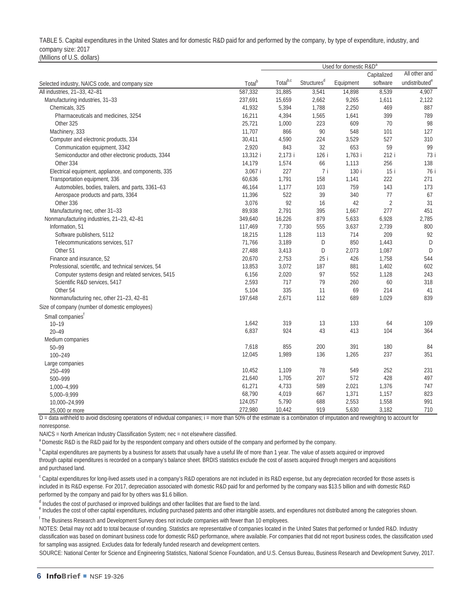TABLE 5. Capital expenditures in the United States and for domestic R&D paid for and performed by the company, by type of expenditure, industry, and company size: 2017 (Millions of U.S. dollars)

|                                                      |                    | Used for domestic R&D <sup>a</sup> |                         |           |                |                            |
|------------------------------------------------------|--------------------|------------------------------------|-------------------------|-----------|----------------|----------------------------|
|                                                      |                    |                                    |                         |           | Capitalized    | All other and              |
| Selected industry, NAICS code, and company size      | Total <sup>b</sup> | Total <sup>b,c</sup>               | Structures <sup>d</sup> | Equipment | software       | undistributed <sup>e</sup> |
| All industries, 21-33, 42-81                         | 587,332            | 31,885                             | 3,541                   | 14,898    | 8,539          | 4,907                      |
| Manufacturing industries, 31-33                      | 237,691            | 15,659                             | 2,662                   | 9,265     | 1,611          | 2,122                      |
| Chemicals, 325                                       | 41,932             | 5,394                              | 1,788                   | 2,250     | 469            | 887                        |
| Pharmaceuticals and medicines, 3254                  | 16,211             | 4,394                              | 1,565                   | 1,641     | 399            | 789                        |
| Other 325                                            | 25,721             | 1,000                              | 223                     | 609       | 70             | 98                         |
| Machinery, 333                                       | 11,707             | 866                                | 90                      | 548       | 101            | 127                        |
| Computer and electronic products, 334                | 30,411             | 4,590                              | 224                     | 3,529     | 527            | 310                        |
| Communication equipment, 3342                        | 2,920              | 843                                | 32                      | 653       | 59             | 99                         |
| Semiconductor and other electronic products, 3344    | 13,312 i           | 2,173 i                            | 126 i                   | 1,763 i   | 212 i          | 73 i                       |
| Other 334                                            | 14,179             | 1,574                              | 66                      | 1,113     | 256            | 138                        |
| Electrical equipment, appliance, and components, 335 | 3,067 i            | 227                                | 7i                      | 130 i     | 15 i           | 76 i                       |
| Transportation equipment, 336                        | 60,636             | 1,791                              | 158                     | 1,141     | 222            | 271                        |
| Automobiles, bodies, trailers, and parts, 3361-63    | 46,164             | 1,177                              | 103                     | 759       | 143            | 173                        |
| Aerospace products and parts, 3364                   | 11,396             | 522                                | 39                      | 340       | 77             | 67                         |
| Other 336                                            | 3,076              | 92                                 | 16                      | 42        | $\overline{2}$ | 31                         |
| Manufacturing nec, other 31-33                       | 89,938             | 2,791                              | 395                     | 1,667     | 277            | 451                        |
| Nonmanufacturing industries, 21-23, 42-81            | 349,640            | 16,226                             | 879                     | 5,633     | 6,928          | 2,785                      |
| Information, 51                                      | 117,469            | 7,730                              | 555                     | 3,637     | 2,739          | 800                        |
| Software publishers, 5112                            | 18,215             | 1,128                              | 113                     | 714       | 209            | 92                         |
| Telecommunications services, 517                     | 71,766             | 3,189                              | D                       | 850       | 1,443          | D                          |
| Other 51                                             | 27,488             | 3,413                              | D                       | 2,073     | 1,087          | D                          |
| Finance and insurance, 52                            | 20,670             | 2,753                              | 25 i                    | 426       | 1,758          | 544                        |
| Professional, scientific, and technical services, 54 | 13,853             | 3,072                              | 187                     | 881       | 1,402          | 602                        |
| Computer systems design and related services, 5415   | 6,156              | 2,020                              | 97                      | 552       | 1,128          | 243                        |
| Scientific R&D services, 5417                        | 2,593              | 717                                | 79                      | 260       | 60             | 318                        |
| Other 54                                             | 5,104              | 335                                | 11                      | 69        | 214            | 41                         |
| Nonmanufacturing nec, other 21-23, 42-81             | 197,648            | 2,671                              | 112                     | 689       | 1,029          | 839                        |
| Size of company (number of domestic employees)       |                    |                                    |                         |           |                |                            |
| Small companies <sup>f</sup>                         |                    |                                    |                         |           |                |                            |
| $10 - 19$                                            | 1,642              | 319                                | 13                      | 133       | 64             | 109                        |
| $20 - 49$                                            | 6,837              | 924                                | 43                      | 413       | 104            | 364                        |
| Medium companies                                     |                    |                                    |                         |           |                |                            |
| $50 - 99$                                            | 7,618              | 855                                | 200                     | 391       | 180            | 84                         |
| 100-249                                              | 12,045             | 1,989                              | 136                     | 1,265     | 237            | 351                        |
| Large companies                                      |                    |                                    |                         |           |                |                            |
| 250-499                                              | 10,452             | 1,109                              | 78                      | 549       | 252            | 231                        |
| 500-999                                              | 21,640             | 1,705                              | 207                     | 572       | 428            | 497                        |
| 1,000-4,999                                          | 61,271             | 4,733                              | 589                     | 2,021     | 1,376          | 747                        |
| 5,000-9,999                                          | 68,790             | 4,019                              | 667                     | 1,371     | 1,157          | 823                        |
| 10,000-24,999                                        | 124,057            | 5,790                              | 688                     | 2,553     | 1,558          | 991                        |
| 25,000 or more                                       | 272,980            | 10,442                             | 919                     | 5,630     | 3,182          | 710                        |

D = data withheld to avoid disclosing operations of individual companies; i = more than 50% of the estimate is a combination of imputation and reweighting to account for nonresponse.

NAICS = North American Industry Classification System; nec = not elsewhere classified.

<sup>a</sup> Domestic R&D is the R&D paid for by the respondent company and others outside of the company and performed by the company.

<sup>b</sup> Capital expenditures are payments by a business for assets that usually have a useful life of more than 1 year. The value of assets acquired or improved through capital expenditures is recorded on a company's balance sheet. BRDIS statistics exclude the cost of assets acquired through mergers and acquisitions and purchased land.

<sup>c</sup> Capital expenditures for long-lived assets used in a company's R&D operations are not included in its R&D expense, but any depreciation recorded for those assets is included in its R&D expense. For 2017, depreciation associated with domestic R&D paid for and performed by the company was \$13.5 billion and with domestic R&D performed by the company and paid for by others was \$1.6 billion.

<sup>d</sup> Includes the cost of purchased or improved buildings and other facilities that are fixed to the land.

<sup>e</sup> Includes the cost of other capital expenditures, including purchased patents and other intangible assets, and expenditures not distributed among the categories shown.

<sup>f</sup> The Business Research and Development Survey does not include companies with fewer than 10 employees.

NOTES: Detail may not add to total because of rounding. Statistics are representative of companies located in the United States that performed or funded R&D. Industry classification was based on dominant business code for domestic R&D performance, where available. For companies that did not report business codes, the classification used for sampling was assigned. Excludes data for federally funded research and development centers.

SOURCE: National Center for Science and Engineering Statistics, National Science Foundation, and U.S. Census Bureau, Business Research and Development Survey, 2017.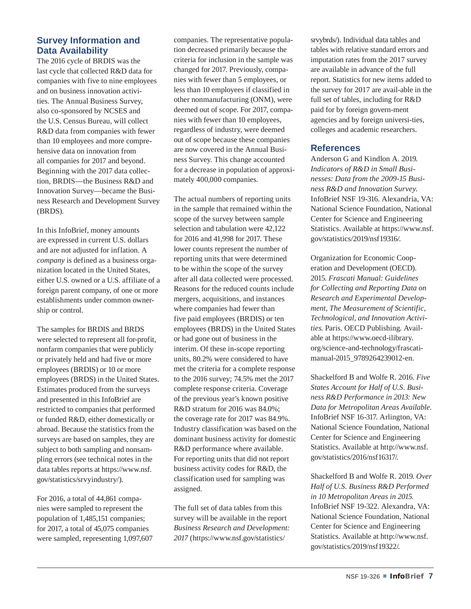# **Survey Information and Data Availability**

The 2016 cycle of BRDIS was the last cycle that collected R&D data for companies with five to nine employees and on business innovation activities. The Annual Business Survey, also co-sponsored by NCSES and the U.S. Census Bureau, will collect R&D data from companies with fewer than 10 employees and more comprehensive data on innovation from all companies for 2017 and beyond. Beginning with the 2017 data collection, BRDIS—the Business R&D and Innovation Survey—became the Business Research and Development Survey (BRDS).

In this InfoBrief, money amounts are expressed in current U.S. dollars and are not adjusted for inflation. A *company* is defined as a business organization located in the United States, either U.S. owned or a U.S. affiliate of a foreign parent company, of one or more establishments under common ownership or control.

The samples for BRDIS and BRDS were selected to represent all for-profit, nonfarm companies that were publicly or privately held and had five or more employees (BRDIS) or 10 or more employees (BRDS) in the United States. Estimates produced from the surveys and presented in this InfoBrief are restricted to companies that performed or funded R&D, either domestically or abroad. Because the statistics from the surveys are based on samples, they are subject to both sampling and nonsampling errors (see technical notes in the data tables reports at [https://www.nsf.](https://www.nsf.gov/statistics/srvyindustry/) [gov/statistics/srvyindustry/\)](https://www.nsf.gov/statistics/srvyindustry/).

For 2016, a total of 44,861 companies were sampled to represent the population of 1,485,151 companies; for 2017, a total of 45,075 companies were sampled, representing 1,097,607

companies. The representative population decreased primarily because the criteria for inclusion in the sample was changed for 2017. Previously, companies with fewer than 5 employees, or less than 10 employees if classified in other nonmanufacturing (ONM), were deemed out of scope. For 2017, companies with fewer than 10 employees, regardless of industry, were deemed out of scope because these companies are now covered in the Annual Business Survey. This change accounted for a decrease in population of approximately 400,000 companies.

The actual numbers of reporting units in the sample that remained within the scope of the survey between sample selection and tabulation were 42,122 for 2016 and 41,998 for 2017. These lower counts represent the number of reporting units that were determined to be within the scope of the survey after all data collected were processed. Reasons for the reduced counts include mergers, acquisitions, and instances where companies had fewer than five paid employees (BRDIS) or ten employees (BRDS) in the United States or had gone out of business in the interim. Of these in-scope reporting units, 80.2% were considered to have met the criteria for a complete response to the 2016 survey; 74.5% met the 2017 complete response criteria. Coverage of the previous year's known positive R&D stratum for 2016 was 84.0%; the coverage rate for 2017 was 84.9%. Industry classification was based on the dominant business activity for domestic R&D performance where available. For reporting units that did not report business activity codes for R&D, the classification used for sampling was assigned.

The full set of data tables from this survey will be available in the report *Business Research and Development: 2017* ([https://www.nsf.gov/statistics/](https://www.nsf.gov/statistics/srvybrds/)

[srvy](https://www.nsf.gov/statistics/srvybrds/)brds/). Individual data tables and tables with relative standard errors and imputation rates from the 2017 survey are available in advance of the full report. Statistics for new items added to the survey for 2017 are avail-able in the full set of tables, including for R&D paid for by foreign govern-ment agencies and by foreign universi-ties, colleges and academic researchers.

#### **References**

Anderson G and Kindlon A. 2019. *Indicators of R&D in Small Businesses: Data from the 2009-15 Business R&D and Innovation Survey*. InfoBrief NSF 19-316. Alexandria, VA: National Science Foundation, National Center for Science and Engineering Statistics. Available at [https://www.nsf.](https://www.nsf.gov/statistics/2019/nsf19316/) [gov/statistics/2019/nsf19316/.](https://www.nsf.gov/statistics/2019/nsf19316/)

Organization for Economic Cooperation and Development (OECD). 2015. *Frascati Manual: Guidelines for Collecting and Reporting Data on Research and Experimental Development, The Measurement of Scientific, Technological, and Innovation Activities*. Paris. OECD Publishing. Available at [https://www.oecd-ilibrary.](https://www.oecd-ilibrary.org/science-and-technology/frascati-manual-2015_9789264239012-en) [org/science-and-technology/frascati](https://www.oecd-ilibrary.org/science-and-technology/frascati-manual-2015_9789264239012-en)[manual-2015\\_9789264239012-en](https://www.oecd-ilibrary.org/science-and-technology/frascati-manual-2015_9789264239012-en).

Shackelford B and Wolfe R. 2016. *Five States Account for Half of U.S. Business R&D Performance in 2013: New Data for Metropolitan Areas Available*. InfoBrief NSF 16-317. Arlington, VA: National Science Foundation, National Center for Science and Engineering Statistics. Available at [http://www.nsf.](http://www.nsf.gov/statistics/2016/nsf16317/) [gov/statistics/2016/nsf16317/.](http://www.nsf.gov/statistics/2016/nsf16317/)

Shackelford B and Wolfe R. 2019. *Over Half of U.S. Business R&D Performed in 10 Metropolitan Areas in 2015*. InfoBrief NSF 19-322. Alexandra, VA: National Science Foundation, National Center for Science and Engineering Statistics. Available at [http://www.nsf.](http://www.nsf.gov/statistics/2019/nsf19322/) [gov/statistics/2019/nsf19322/.](http://www.nsf.gov/statistics/2019/nsf19322/)